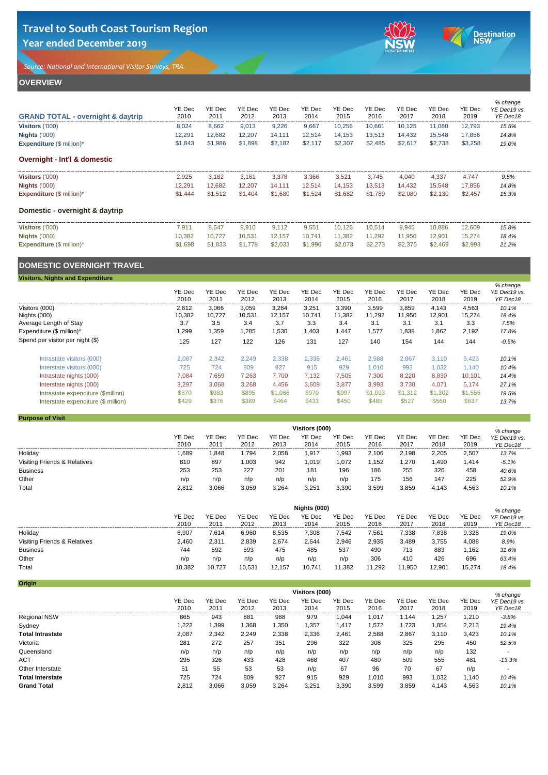*Source: National and International Visitor Surveys, TRA.* 





# **OVERVIEW**

| YE Dec<br>2010 | YE Dec<br>201' | YE Dec<br>2012 | YE Dec<br>2013 | YE Dec<br>2014 | YE Dec<br>2015 | YE Dec<br>2016 | YE Dec<br>2017 | YE Dec<br>2018 | YE Dec<br>2019 | % change<br>YE Dec19 vs.<br>YE Dec18 |
|----------------|----------------|----------------|----------------|----------------|----------------|----------------|----------------|----------------|----------------|--------------------------------------|
| 8.024          | 8,662          | 9,013          | 9,226          | 9,667          | 10,256         | 10,661         | 10,125         | 11.080         | 12.793         | 15.5%                                |
| 12.291         | 12,682         | 12,207         | 14.111         | 12,514         | 14,153         | 13,513         | 14,432         | 15,548         | 17.856         | 14.8%                                |
| \$1,843        | \$1,986        | \$1,898        | \$2,182        | \$2,117        | \$2,307        | \$2,485        | \$2,617        | \$2,738        | \$3,258        | 19.0%                                |
|                |                |                |                |                |                |                |                |                |                |                                      |
| 2,925          | 3,182          | 3.161          | 3.378          | 3,366          | 3,521          | 3.745          | 4,040          | 4,337          | 4.747          | 9.5%                                 |
| 12.291         | 12.682         | 12.207         | 14.111         | 12,514         | 14.153         | 13.513         | 14.432         | 15.548         | 17.856         | 14.8%                                |
| \$1,444        | \$1,512        | \$1,404        | \$1,680        | \$1,524        | \$1,682        | \$1.789        | \$2,080        | \$2,130        | \$2.457        | 15.3%                                |
|                |                |                |                |                |                |                |                |                |                |                                      |
| 7.911          | 8.547          | 8.910          | 9.112          | 9.551          | 10.126         | 10.514         | 9,945          | 10.886         | 12.609         | 15.8%                                |
| 10.382         | 10.727         | 10.531         | 12.157         | 10,741         | 11,382         | 11.292         | 11,950         | 12.901         | 15.274         | 18.4%                                |
| \$1,698        | \$1,833        | \$1,778        | \$2,033        | \$1,996        | \$2,073        | \$2,273        | \$2,375        | \$2,469        | \$2,993        | 21.2%                                |
|                |                |                |                |                |                |                |                |                |                |                                      |

## **DOMESTIC OVERNIGHT TRAVEL**

### **Visitors, Nights and Expenditure**

|                                        | YE Dec<br>2010 | YE Dec<br>2011 | YE Dec<br>2012 | YE Dec<br>2013 | YE Dec<br>2014 | YE Dec<br>2015 | YE Dec<br>2016 | YE Dec<br>2017 | YE Dec<br>2018 | YE Dec<br>2019 | % change<br>YE Dec19 vs.<br>YE Dec18 |
|----------------------------------------|----------------|----------------|----------------|----------------|----------------|----------------|----------------|----------------|----------------|----------------|--------------------------------------|
| Visitors (000)                         | 2,812          | 3,066          | 3,059          | 3,264          | 3,251          | 3,390          | 3,599          | 3,859          | 4.143          | 4,563          | 10.1%                                |
| Nights (000)<br>Average Length of Stav | 10,382<br>3.7  | 10.727<br>3.5  | 10,531<br>3.4  | 12.157<br>3.7  | 10.741<br>3.3  | 11.382<br>3.4  | 11,292<br>3.1  | 11,950<br>3.1  | 12,901<br>3.1  | 15.274<br>3.3  | 18.4%<br>7.5%                        |
| Expenditure (\$ million)*              | ,299           | 1,359          | 1,285          | .530           | 1.403          | 1.447          | 1,577          | 1,838          | 1,862          | 2,192          | 17.8%                                |
| Spend per visitor per night (\$)       | 125            | 127            | 122            | 126            | 131            | 127            | 140            | 154            | 144            | 144            | $-0.5%$                              |
| Intrastate visitors (000)              | 2.087          | 2.342          | 2.249          | 2,338          | 2.336          | 2.461          | 2,588          | 2.867          | 3.110          | 3,423          | 10.1%                                |
| Interstate visitors (000)              | 725            | 724            | 809            | 927            | 915            | 929            | 1,010          | 993            | 1.032          | 1.140          | 10.4%                                |
| Intrastate nights (000)                | 7.084          | 7,659          | 7,263          | 7.700          | 7.132          | 7,505          | 7,300          | 8,220          | 8,830          | 10,101         | 14.4%                                |
| Interstate nights (000)                | 3.297          | 3.068          | 3.268          | 4.456          | 3.609          | 3.877          | 3.993          | 3.730          | 4.071          | 5.174          | 27.1%                                |
| Intrastate expenditure (\$million)     | \$870          | \$983          | \$895          | \$1,066        | \$970          | \$997          | \$1,093        | \$1,312        | \$1,302        | \$1,555        | 19.5%                                |
| Interstate expenditure (\$ million)    | \$429          | \$376          | \$389          | \$464          | \$433          | \$450          | \$485          | \$527          | \$560          | \$637          | 13.7%                                |

### **Purpose of Visit**

|                              | Visitors (000) |                |                |                |                |                |                |                |                |                | % change                 |  |
|------------------------------|----------------|----------------|----------------|----------------|----------------|----------------|----------------|----------------|----------------|----------------|--------------------------|--|
|                              | YE Dec<br>2010 | YE Dec<br>2011 | YE Dec<br>2012 | YE Dec<br>2013 | YE Dec<br>2014 | YE Dec<br>2015 | YE Dec<br>2016 | YE Dec<br>2017 | YE Dec<br>2018 | YE Dec<br>2019 | YE Dec19 vs.<br>YE Dec18 |  |
| Holiday                      | 1,689          | .848           | 794,           | 2,058          | .917           | 1,993          | 2,106          | 2,198          | 2,205          | 2,507          | 13.7%                    |  |
| Visiting Friends & Relatives | 810            | 897            | 1,003          | 942            | .019           | ,072           | .152           | .270           | ,490           | 1,414          | $-5.1%$                  |  |
| <b>Business</b>              | 253            | 253            | 227            | 201            | 181            | 196            | 186            | 255            | 326            | 458            | 40.6%                    |  |
| Other                        | n/p            | n/p            | n/p            | n/p            | n/p            | n/p            | 175            | 156            | 147            | 225            | 52.9%                    |  |
| Total                        | 2,812          | 3,066          | 3,059          | 3,264          | 3,251          | 3,390          | 3,599          | 3,859          | 4,143          | 4,563          | 10.1%                    |  |

|                              | Nights (000)   |                       |                |                |                |                |                |                |                |                | % change                 |
|------------------------------|----------------|-----------------------|----------------|----------------|----------------|----------------|----------------|----------------|----------------|----------------|--------------------------|
|                              | YE Dec<br>2010 | <b>YE Dec</b><br>2011 | YE Dec<br>2012 | YE Dec<br>2013 | YE Dec<br>2014 | YE Dec<br>2015 | YE Dec<br>2016 | YE Dec<br>2017 | YE Dec<br>2018 | YE Dec<br>2019 | YE Dec19 vs.<br>YE Dec18 |
| Holiday                      | 6,907          | 7.614                 | 6,960          | 8,535          | 7,308          | 7,542          | 7,561          | 7,338          | 7,838          | 9,328          | 19.0%                    |
| Visiting Friends & Relatives | 2,460          | 2.311                 | 2,839          | 2,674          | 2.644          | 2,946          | 2,935          | 3,489          | 3,755          | 4,088          | 8.9%                     |
| <b>Business</b>              | 744            | 592                   | 593            | 475            | 485            | 537            | 490            | 713            | 883            | 1.162          | 31.6%                    |
| Other                        | n/p            | n/p                   | n/p            | n/p            | n/p            | n/p            | 306            | 410            | 426            | 696            | 63.4%                    |
| Total                        | 10,382         | 10,727                | 10,531         | 12.157         | 10,741         | 11,382         | 11.292         | 11,950         | 12,901         | 15,274         | 18.4%                    |

| Origin                  |                |                |                |                |                |                |                |                |                |                |                          |
|-------------------------|----------------|----------------|----------------|----------------|----------------|----------------|----------------|----------------|----------------|----------------|--------------------------|
|                         |                |                |                |                | Visitors (000) |                |                |                |                |                | % change                 |
|                         | YE Dec<br>2010 | YE Dec<br>2011 | YE Dec<br>2012 | YE Dec<br>2013 | YE Dec<br>2014 | YE Dec<br>2015 | YE Dec<br>2016 | YE Dec<br>2017 | YE Dec<br>2018 | YE Dec<br>2019 | YE Dec19 vs.<br>YE Dec18 |
| Regional NSW            | 865            | 943            | 881            | 988            | 979            | 1.044          | 1,017          | 1.144          | 1,257          | 1,210          | $-3.8%$                  |
| Sydney                  | .222           | 1,399          | 1,368          | 1,350          | 1,357          | 1,417          | 1,572          | 1.723          | 1,854          | 2,213          | 19.4%                    |
| <b>Total Intrastate</b> | 2,087          | 2,342          | 2,249          | 2,338          | 2,336          | 2,461          | 2,588          | 2,867          | 3,110          | 3,423          | 10.1%                    |
| Victoria                | 281            | 272            | 257            | 351            | 296            | 322            | 308            | 325            | 295            | 450            | 52.5%                    |
| Queensland              | n/p            | n/p            | n/p            | n/p            | n/p            | n/p            | n/p            | n/p            | n/p            | 132            |                          |
| <b>ACT</b>              | 295            | 326            | 433            | 428            | 468            | 407            | 480            | 509            | 555            | 481            | $-13.3%$                 |
| Other Interstate        | 51             | 55             | 53             | 53             | n/p            | 67             | 96             | 70             | 67             | n/p            |                          |
| <b>Total Interstate</b> | 725            | 724            | 809            | 927            | 915            | 929            | 1,010          | 993            | 1,032          | 1,140          | 10.4%                    |
| <b>Grand Total</b>      | 2,812          | 3,066          | 3,059          | 3,264          | 3,251          | 3,390          | 3,599          | 3,859          | 4,143          | 4,563          | 10.1%                    |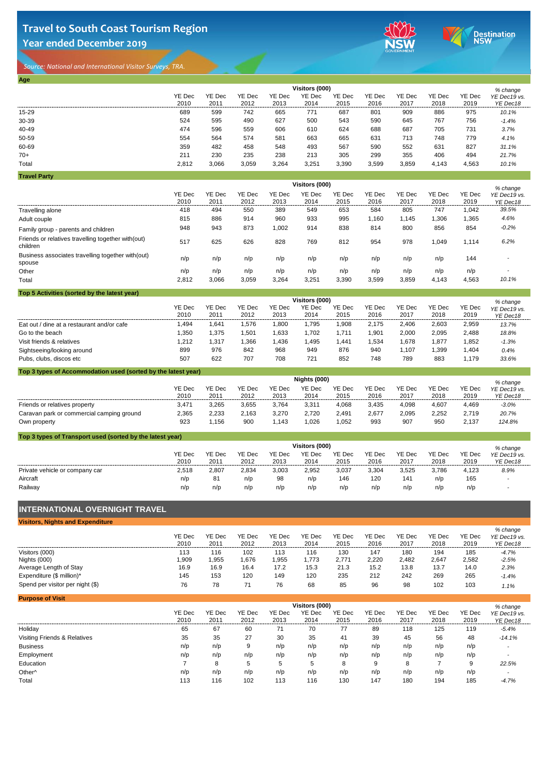

*Source: National and International Visitor Surveys, TRA.* 

| Age                 |        |        |        |        |                |        |        |        |        |        |              |
|---------------------|--------|--------|--------|--------|----------------|--------|--------|--------|--------|--------|--------------|
|                     |        |        |        |        | Visitors (000) |        |        |        |        |        | % change     |
|                     | YE Dec | YE Dec | YE Dec | YE Dec | YE Dec         | YE Dec | YE Dec | YE Dec | YE Dec | YE Dec | YE Dec19 vs. |
|                     | 2010   | 2011   | 2012   | 2013   | 2014           | 2015   | 2016   | 2017   | 2018   | 2019   | YE Dec18     |
| 15-29               | 689    | 599    | 742    | 665    | 771            | 687    | 801    | 909    | 886    | 975    | 10.1%        |
| 30-39               | 524    | 595    | 490    | 627    | 500            | 543    | 590    | 645    | 767    | 756    | $-1.4%$      |
| 40-49               | 474    | 596    | 559    | 606    | 610            | 624    | 688    | 687    | 705    | 731    | 3.7%         |
| 50-59               | 554    | 564    | 574    | 581    | 663            | 665    | 631    | 713    | 748    | 779    | 4.1%         |
| 60-69               | 359    | 482    | 458    | 548    | 493            | 567    | 590    | 552    | 631    | 827    | 31.1%        |
| $70+$               | 211    | 230    | 235    | 238    | 213            | 305    | 299    | 355    | 406    | 494    | 21.7%        |
| Total               | 2,812  | 3,066  | 3,059  | 3,264  | 3,251          | 3,390  | 3,599  | 3,859  | 4,143  | 4,563  | 10.1%        |
| <b>Travel Party</b> |        |        |        |        |                |        |        |        |        |        |              |

YE Dec 2010 YE Dec 2011 YE Dec 2012 YE Dec 2013 YE Dec 2014 YE Dec 2015 YE Dec 2016 YE Dec 2017 YE Dec 2018 YE Dec 2019 Travelling alone 418 494 550 389 549 653 584 805 747 1,042 *39.5%* Adult couple 815 886 914 960 933 995 1,160 1,145 1,306 1,365 *4.6%* Family group - parents and children 948 943 873 1,002 914 838 814 800 856 854 *-0.2%* Friends or relatives travelling together with(out) children 517 625 626 828 769 812 954 978 1,049 1,114 *6.2%* Business associates travelling together with(out) spouse n/p n/p n/p n/p n/p n/p n/p n/p n/p 144 *-* Other n/p n/p n/p n/p n/p n/p n/p n/p n/p n/p *-* Total 2,812 3,066 3,059 3,264 3,251 3,390 3,599 3,859 4,143 4,563 *10.1% % change YE Dec19 vs. YE Dec18* **Visitors (000)**

| Top 5 Activities (sorted by the latest year) |                |                  |                |                |                |                |                |                |                |                |                          |
|----------------------------------------------|----------------|------------------|----------------|----------------|----------------|----------------|----------------|----------------|----------------|----------------|--------------------------|
|                                              |                |                  |                |                | Visitors (000) |                |                |                |                |                | % change                 |
|                                              | YE Dec<br>2010 | YE Dec<br>201'   | YE Dec<br>2012 | YE Dec<br>2013 | YE Dec<br>2014 | YE Dec<br>2015 | YE Dec<br>2016 | YE Dec<br>2017 | YE Dec<br>2018 | YE Dec<br>2019 | YE Dec19 vs.<br>YE Dec18 |
| Eat out / dine at a restaurant and/or cafe   | .494           | .64 <sup>′</sup> | 1.576          | .800           | .795           | 908.           | 2.175          | 2.406          | 2.603          | 2.959          | 13.7%                    |
| Go to the beach                              | .350           | .375             | 1.501          | .633           | .702           | .711           | ,901           | 2.000          | 2.095          | 2.488          | 18.8%                    |
| Visit friends & relatives                    | 1.212          | . 317            | 1.366          | .436           | .495           | .441           | .534           | 1.678          | .877           | 1,852          | $-1.3%$                  |
| Sightseeing/looking around                   | 899            | 976              | 842            | 968            | 949            | 876            | 940            | 1.107          | .399           | .404           | 0.4%                     |
| Pubs, clubs, discos etc                      | 507            | 622              | 707            | 708            | 721            | 852            | 748            | 789            | 883            | 1.179          | 33.6%                    |

| Top 3 types of Accommodation used (sorted by the latest year) |                |                       |                |                |                |                |                |                |                |                |                                      |  |
|---------------------------------------------------------------|----------------|-----------------------|----------------|----------------|----------------|----------------|----------------|----------------|----------------|----------------|--------------------------------------|--|
|                                                               | Nights (000)   |                       |                |                |                |                |                |                |                |                |                                      |  |
|                                                               | YE Dec<br>2010 | <b>YE Dec</b><br>201' | YE Dec<br>2012 | YE Dec<br>2013 | YE Dec<br>2014 | YE Dec<br>2015 | YE Dec<br>2016 | YE Dec<br>2017 | YE Dec<br>2018 | YE Dec<br>2019 | % change<br>YE Dec19 vs.<br>YE Dec18 |  |
| Friends or relatives property                                 | 3.471          | 3.265                 | 3.655          | 3.764          | 3.311          | 4.068          | 3.435          | 4.098          | 4.607          | 4.469          | $-3.0%$                              |  |
| Caravan park or commercial camping ground                     | 2,365          | 2.233                 | 2.163          | 3.270          | 2.720          | 2.491          | 2,677          | 2.095          | 2,252          | 2.719          | 20.7%                                |  |
| Own property                                                  | 923            | l.156                 | 900            | .143           | .026           | 1,052          | 993            | 907            | 950            | 2.137          | 124.8%                               |  |

| Top 3 types of Transport used (sorted by the latest year) |                |               |        |        |        |        |        |        |        |        |                          |  |
|-----------------------------------------------------------|----------------|---------------|--------|--------|--------|--------|--------|--------|--------|--------|--------------------------|--|
|                                                           | Visitors (000) |               |        |        |        |        |        |        |        |        |                          |  |
|                                                           | YE Dec         | <b>YE Dec</b> | YE Dec | YE Dec | YE Dec | YE Dec | YE Dec | YE Dec | YE Dec | YE Dec | % change<br>YE Dec19 vs. |  |
|                                                           | 2010           | 2011          | 2012   | 2013   | 2014   | 2015   | 2016   | 2017   | 2018   | 2019   | YE Dec18                 |  |
| Private vehicle or company car                            | 2,518          | 2.807         | 2.834  | 3,003  | 2,952  | 3,037  | 3.304  | 3.525  | 3.786  | 4.123  | 8.9%                     |  |
| Aircraft                                                  | n/p            | 81            | n/p    | 98     | n/p    | 146    | 120    | 141    | n/p    | 165    | $\overline{\phantom{a}}$ |  |
| Railway                                                   | n/p            | n/p           | n/p    | n/p    | n/p    | n/p    | n/p    | n/p    | n/p    | n/p    |                          |  |

### **INTERNATIONAL OVERNIGHT TRAVEL**

| <b>Visitors, Nights and Expenditure</b> |                |                |                |                |                |                |                       |                |                |                |                                      |
|-----------------------------------------|----------------|----------------|----------------|----------------|----------------|----------------|-----------------------|----------------|----------------|----------------|--------------------------------------|
|                                         | YE Dec<br>2010 | YE Dec<br>2011 | YE Dec<br>2012 | YE Dec<br>2013 | YE Dec<br>2014 | YE Dec<br>2015 | <b>YE Dec</b><br>2016 | YE Dec<br>2017 | YE Dec<br>2018 | YE Dec<br>2019 | % change<br>YE Dec19 vs.<br>YE Dec18 |
| Visitors (000)                          | 113            | 116            | 102            | 113            | 116            | 130            | 147                   | 180            | 194            | 185            | $-4.7%$                              |
| Nights (000)                            | .909           | .955           | .676           | ,955           | 1.773          | 2.771          | 2.220                 | 2.482          | 2.647          | 2.582          | $-2.5%$                              |
| Average Length of Stay                  | 16.9           | 16.9           | 16.4           | 17.2           | 15.3           | 21.3           | 15.2                  | 13.8           | 13.7           | 14.0           | 2.3%                                 |
| Expenditure (\$ million)*               | 145            | 153            | 120            | 149            | 120            | 235            | 212                   | 242            | 269            | 265            | $-1.4%$                              |
| Spend per visitor per night (\$)        | 76             | 78             |                | 76             | 68             | 85             | 96                    | 98             | 102            | 103            | 1.1%                                 |

|                |                       |                |                |                |                |                |                |                |                | % change                 |
|----------------|-----------------------|----------------|----------------|----------------|----------------|----------------|----------------|----------------|----------------|--------------------------|
| YE Dec<br>2010 | <b>YE Dec</b><br>2011 | YE Dec<br>2012 | YE Dec<br>2013 | YE Dec<br>2014 | YE Dec<br>2015 | YE Dec<br>2016 | YE Dec<br>2017 | YE Dec<br>2018 | YE Dec<br>2019 | YE Dec19 vs.<br>YE Dec18 |
| 65             | 67                    | 60             | 71             | 70             | 77             | 89             | 118            | 125            | 119            | $-5.4%$                  |
| 35             | 35                    | 27             | 30             | 35             | 41             | 39             | 45             | 56             | 48             | $-14.1%$                 |
| n/p            | n/p                   | 9              | n/p            | n/p            | n/p            | n/p            | n/p            | n/p            | n/p            |                          |
| n/p            | n/p                   | n/p            | n/p            | n/p            | n/p            | n/p            | n/p            | n/p            | n/p            |                          |
|                | 8                     | 5              | 5              | 5              | 8              | 9              | 8              |                | 9              | 22.5%                    |
| n/p            | n/p                   | n/p            | n/p            | n/p            | n/p            | n/p            | n/p            | n/p            | n/p            |                          |
| 113            | 116                   | 102            | 113            | 116            | 130            | 147            | 180            | 194            | 185            | $-4.7%$                  |
|                |                       |                |                |                |                | Visitors (000) |                |                |                |                          |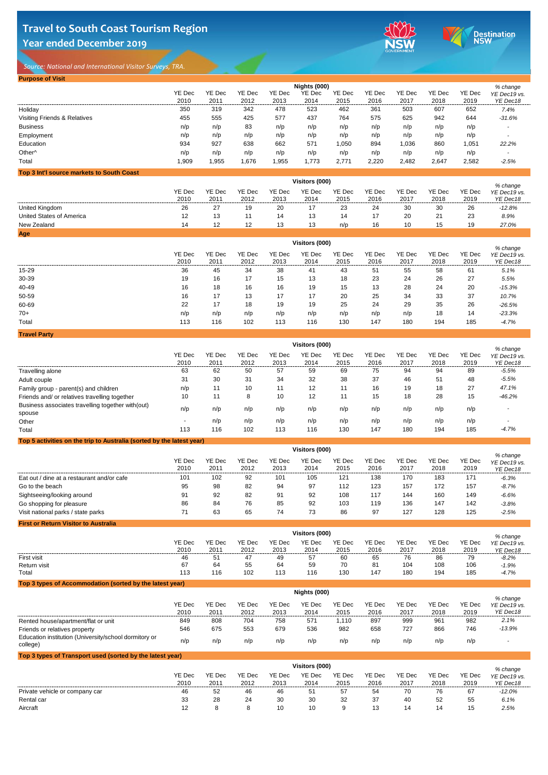

*Source: National and International Visitor Surveys, TRA.* 

| <b>Purpose of Visit</b>      |                |                |                |                |                |                |                |                |                |                |                          |
|------------------------------|----------------|----------------|----------------|----------------|----------------|----------------|----------------|----------------|----------------|----------------|--------------------------|
|                              |                |                |                |                | Nights (000)   |                |                |                |                |                | % change                 |
|                              | YE Dec<br>2010 | YE Dec<br>2011 | YE Dec<br>2012 | YE Dec<br>2013 | YE Dec<br>2014 | YE Dec<br>2015 | YE Dec<br>2016 | YE Dec<br>2017 | YE Dec<br>2018 | YE Dec<br>2019 | YE Dec19 vs.<br>YE Dec18 |
| Holiday                      | 350            | 319            | 342            | 478            | 523            | 462            | 361            | 503            | 607            | 652            | 7.4%                     |
| Visiting Friends & Relatives | 455            | 555            | 425            | 577            | 437            | 764            | 575            | 625            | 942            | 644            | $-31.6%$                 |
| <b>Business</b>              | n/p            | n/p            | 83             | n/p            | n/p            | n/p            | n/p            | n/p            | n/p            | n/p            |                          |
| Employment                   | n/p            | n/p            | n/p            | n/p            | n/p            | n/p            | n/p            | n/p            | n/p            | n/p            |                          |
| Education                    | 934            | 927            | 638            | 662            | 571            | 1,050          | 894            | 1,036          | 860            | 1,051          | 22.2%                    |
| Other <sup>^</sup>           | n/p            | n/p            | n/p            | n/p            | n/p            | n/p            | n/p            | n/p            | n/p            | n/p            |                          |
| Total                        | 1,909          | 1,955          | 1,676          | 1,955          | 1,773          | 2,771          | 2,220          | 2,482          | 2,647          | 2,582          | $-2.5%$                  |

| Top 3 Int'l source markets to South Coast |                |                |                |                |                |                |                |                |                |                |                          |
|-------------------------------------------|----------------|----------------|----------------|----------------|----------------|----------------|----------------|----------------|----------------|----------------|--------------------------|
|                                           |                |                |                |                | Visitors (000) |                |                |                |                |                | % change                 |
|                                           | YE Dec<br>2010 | YE Dec<br>2011 | YE Dec<br>2012 | YE Dec<br>2013 | YE Dec<br>2014 | YE Dec<br>2015 | YE Dec<br>2016 | YE Dec<br>2017 | YE Dec<br>2018 | YE Dec<br>2019 | YE Dec19 vs.<br>YE Dec18 |
| United Kingdom                            | 26             | 27             | 19             | 20             | 17             | 23             | 24             | 30             | 30             | 26             | $-12.8%$                 |
| United States of America                  | 12             | 13             | 11             | 14             | 13             | 14             | 17             | 20             | 21             | 23             | 8.9%                     |
| New Zealand                               | 14             | 12             | 12             | 13             | 13             | n/p            | 16             | 10             | 15             | 19             | 27.0%                    |
| Age                                       |                |                |                |                |                |                |                |                |                |                |                          |

|                     | Visitors (000) |                |                |                |                |                |                |                |                |                |                                      |  |
|---------------------|----------------|----------------|----------------|----------------|----------------|----------------|----------------|----------------|----------------|----------------|--------------------------------------|--|
|                     | YE Dec<br>2010 | YE Dec<br>2011 | YE Dec<br>2012 | YE Dec<br>2013 | YE Dec<br>2014 | YE Dec<br>2015 | YE Dec<br>2016 | YE Dec<br>2017 | YE Dec<br>2018 | YE Dec<br>2019 | % change<br>YE Dec19 vs.<br>YE Dec18 |  |
| 15-29               | 36             | 45             | 34             | 38             | 41             | 43             | 51             | 55             | 58             | 61             | 5.1%                                 |  |
| 30-39               | 19             | 16             | 17             | 15             | 13             | 18             | 23             | 24             | 26             | 27             | 5.5%                                 |  |
| 40-49               | 16             | 18             | 16             | 16             | 19             | 15             | 13             | 28             | 24             | 20             | $-15.3%$                             |  |
| 50-59               | 16             | 17             | 13             | 17             | 17             | 20             | 25             | 34             | 33             | 37             | 10.7%                                |  |
| 60-69               | 22             | 17             | 18             | 19             | 19             | 25             | 24             | 29             | 35             | 26             | $-26.5%$                             |  |
| $70+$               | n/p            | n/p            | n/p            | n/p            | n/p            | n/p            | n/p            | n/p            | 18             | 14             | $-23.3%$                             |  |
| Total               | 113            | 116            | 102            | 113            | 116            | 130            | 147            | 180            | 194            | 185            | $-4.7%$                              |  |
| <b>Travel Party</b> |                |                |                |                |                |                |                |                |                |                |                                      |  |

|                                                                       | Visitors (000)           |                |                |                |                |                |                |                |                |                |                                      |  |  |
|-----------------------------------------------------------------------|--------------------------|----------------|----------------|----------------|----------------|----------------|----------------|----------------|----------------|----------------|--------------------------------------|--|--|
|                                                                       | YE Dec<br>2010           | YE Dec<br>2011 | YE Dec<br>2012 | YE Dec<br>2013 | YE Dec<br>2014 | YE Dec<br>2015 | YE Dec<br>2016 | YE Dec<br>2017 | YE Dec<br>2018 | YE Dec<br>2019 | % change<br>YE Dec19 vs.<br>YE Dec18 |  |  |
| Travelling alone                                                      | 63                       | 62             | 50             | 57             | 59             | 69             | 75             | 94             | 94             | 89             | $-5.5%$                              |  |  |
| Adult couple                                                          | 31                       | 30             | 31             | 34             | 32             | 38             | 37             | 46             | 51             | 48             | $-5.5%$                              |  |  |
| Family group - parent(s) and children                                 | n/p                      | 11             | 10             | 11             | 12             | 11             | 16             | 19             | 18             | 27             | 47.1%                                |  |  |
| Friends and/ or relatives travelling together                         | 10                       | 11             | 8              | 10             | 12             | 11             | 15             | 18             | 28             | 15             | $-46.2%$                             |  |  |
| Business associates travelling together with (out)<br>spouse          | n/p                      | n/p            | n/p            | n/p            | n/p            | n/p            | n/p            | n/p            | n/p            | n/p            |                                      |  |  |
| Other                                                                 | $\overline{\phantom{a}}$ | n/p            | n/p            | n/p            | n/p            | n/p            | n/p            | n/p            | n/p            | n/p            |                                      |  |  |
| Total                                                                 | 113                      | 116            | 102            | 113            | 116            | 130            | 147            | 180            | 194            | 185            | $-4.7%$                              |  |  |
| Top 5 activities on the trip to Australia (sorted by the latest year) |                          |                |                |                |                |                |                |                |                |                |                                      |  |  |

|                                             | Visitors (000) |                       |                |                |                |                |                |                |                |                |                                      |  |
|---------------------------------------------|----------------|-----------------------|----------------|----------------|----------------|----------------|----------------|----------------|----------------|----------------|--------------------------------------|--|
|                                             | YE Dec<br>2010 | <b>YE Dec</b><br>2011 | YE Dec<br>2012 | YE Dec<br>2013 | YE Dec<br>2014 | YE Dec<br>2015 | YE Dec<br>2016 | YE Dec<br>2017 | YE Dec<br>2018 | YE Dec<br>2019 | % change<br>YE Dec19 vs.<br>YE Dec18 |  |
| Eat out / dine at a restaurant and/or cafe  | 101            | 102                   | 92             | 101            | 105            | 121            | 138            | 170            | 183            | 171            | $-6.3%$                              |  |
| Go to the beach                             | 95             | 98                    | 82             | 94             | 97             | 112            | 123            | 157            | 172            | 157            | $-8.7%$                              |  |
| Sightseeing/looking around                  | 91             | 92                    | 82             | 91             | 92             | 108            | 117            | 144            | 160            | 149            | $-6.6%$                              |  |
| Go shopping for pleasure                    | 86             | 84                    | 76             | 85             | 92             | 103            | 119            | 136            | 147            | 142            | $-3.8%$                              |  |
| Visit national parks / state parks          | 71             | 63                    | 65             | 74             | 73             | 86             | 97             | 127            | 128            | 125            | $-2.5%$                              |  |
| <b>First or Return Visitor to Australia</b> |                |                       |                |                |                |                |                |                |                |                |                                      |  |

|                                                          | Visitors (000) |                |                |                |                |                |                |                |                |                |                                      |  |
|----------------------------------------------------------|----------------|----------------|----------------|----------------|----------------|----------------|----------------|----------------|----------------|----------------|--------------------------------------|--|
|                                                          | YE Dec<br>2010 | YE Dec<br>2011 | YE Dec<br>2012 | YE Dec<br>2013 | YE Dec<br>2014 | YE Dec<br>2015 | YE Dec<br>2016 | YE Dec<br>2017 | YE Dec<br>2018 | YE Dec<br>2019 | % change<br>YE Dec19 vs.<br>YE Dec18 |  |
| First visit                                              | 46             | 51             | 47             | 49             | 57             | 60             | 65             | 76             | 86             | 79             | $-8.2%$                              |  |
| Return visit                                             | 67             | 64             | 55             | 64             | 59             | 70             | 81             | 104            | 108            | 106            | $-1.9%$                              |  |
| Total                                                    | 113            | 116            | 102            | 113            | 116            | 130            | 147            | 180            | 194            | 185            | $-4.7%$                              |  |
| Top 3 types of Accommodation (sorted by the latest year) |                |                |                |                |                |                |                |                |                |                |                                      |  |

|                                                                   | Nights (000)   |                       |                |                |                |                |                |                |                |                |                                      |  |  |
|-------------------------------------------------------------------|----------------|-----------------------|----------------|----------------|----------------|----------------|----------------|----------------|----------------|----------------|--------------------------------------|--|--|
|                                                                   | YE Dec<br>2010 | <b>YE Dec</b><br>2011 | YE Dec<br>2012 | YE Dec<br>2013 | YE Dec<br>2014 | YE Dec<br>2015 | YE Dec<br>2016 | YE Dec<br>2017 | YE Dec<br>2018 | YE Dec<br>2019 | % change<br>YE Dec19 vs.<br>YE Dec18 |  |  |
| Rented house/apartment/flat or unit                               | 849            | 808                   | 704            | 758            | 57'            | 1.110          | 897            | 999            | 961            | 982            | 2.1%                                 |  |  |
| Friends or relatives property                                     | 546            | 675                   | 553            | 679            | 536            | 982            | 658            | 727            | 866            | 746            | $-13.9%$                             |  |  |
| Education institution (University/school dormitory or<br>college) | n/p            | n/p                   | n/p            | n/p            | n/p            | n/p            | n/p            | n/p            | n/p            | n/p            |                                      |  |  |

| Top 3 types of Transport used (sorted by the latest year) |                |                       |                |                |                |                |                |                |                |                |                                      |  |  |
|-----------------------------------------------------------|----------------|-----------------------|----------------|----------------|----------------|----------------|----------------|----------------|----------------|----------------|--------------------------------------|--|--|
|                                                           | Visitors (000) |                       |                |                |                |                |                |                |                |                |                                      |  |  |
|                                                           | YE Dec<br>2010 | <b>YE Dec</b><br>2011 | YE Dec<br>2012 | YE Dec<br>2013 | YE Dec<br>2014 | YE Dec<br>2015 | YE Dec<br>2016 | YE Dec<br>2017 | YE Dec<br>2018 | YE Dec<br>2019 | % change<br>YE Dec19 vs.<br>YE Dec18 |  |  |
| Private vehicle or company car                            | 46             | 52                    | 46             | 46             | 51             | 57             | 54             | 70             | 76             | 67             | $-12.0%$                             |  |  |
| Rental car                                                | 33             | 28                    | 24             | 30             | 30             | 32             | 37             | 40             | 52             | 55             | 6.1%                                 |  |  |
| Aircraft                                                  | 12             |                       |                | 10             | 10             | 9              | 13             | 14             | 14             | 15             | 2.5%                                 |  |  |